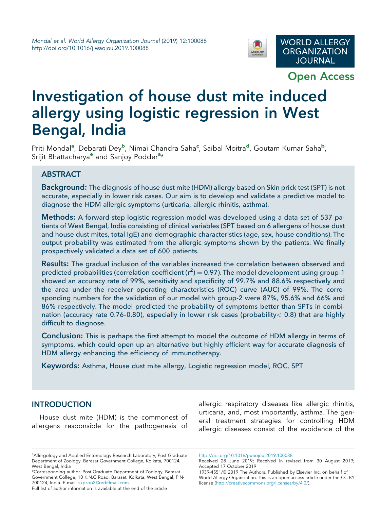

Open Access

# Investigation of house dust mite induced allergy using logistic regression in West Bengal, India

Priti Mondal<sup>a</sup>, Debarati Dey<sup>b</sup>, Nimai Chandra Saha<sup>c</sup>, Saibal Moitra<sup>d</sup>, Goutam Kumar Saha<sup>b</sup>, Srijit Bhattacharya<sup>e</sup> and Sanjoy Podder<sup>a\*</sup>

## ABSTRACT

Background: The diagnosis of house dust mite (HDM) allergy based on Skin prick test (SPT) is not accurate, especially in lower risk cases. Our aim is to develop and validate a predictive model to diagnose the HDM allergic symptoms (urticaria, allergic rhinitis, asthma).

Methods: A forward-step logistic regression model was developed using a data set of 537 patients of West Bengal, India consisting of clinical variables (SPT based on 6 allergens of house dust and house dust mites, total IgE) and demographic characteristics (age, sex, house conditions). The output probability was estimated from the allergic symptoms shown by the patients. We finally prospectively validated a data set of 600 patients.

**Results:** The gradual inclusion of the variables increased the correlation between observed and predicted probabilities (correlation coefficient (r $^2$ ) = 0.97). The model development using group-1 showed an accuracy rate of 99%, sensitivity and specificity of 99.7% and 88.6% respectively and the area under the receiver operating characteristics (ROC) curve (AUC) of 99%. The corresponding numbers for the validation of our model with group-2 were 87%, 95.6% and 66% and 86% respectively. The model predicted the probability of symptoms better than SPTs in combination (accuracy rate 0.76–0.80), especially in lower risk cases (probability< 0.8) that are highly difficult to diagnose.

Conclusion: This is perhaps the first attempt to model the outcome of HDM allergy in terms of symptoms, which could open up an alternative but highly efficient way for accurate diagnosis of HDM allergy enhancing the efficiency of immunotherapy.

Keywords: Asthma, House dust mite allergy, Logistic regression model, ROC, SPT

## **INTRODUCTION**

House dust mite (HDM) is the commonest of allergens responsible for the pathogenesis of

<sup>a</sup> Allergology and Applied Entomology Research Laboratory, Post Graduate Department of Zoology, Barasat Government College, Kolkata, 700124,

West Bengal, India \*Corresponding author. Post Graduate Department of Zoology, Barasat Government College, 10 K.N.C Road, Barasat, Kolkata, West Bengal, PIN-700124, India. E-mail: skpzoo2@rediffmail.com

Full list of author information is available at the end of the article

allergic respiratory diseases like allergic rhinitis, urticaria, and, most importantly, asthma. The general treatment strategies for controlling HDM allergic diseases consist of the avoidance of the

http://doi.org/10.1016/j.waojou.2019.100088

Received 28 June 2019; Received in revised from 30 August 2019; Accepted 17 October 2019

<sup>1939-4551/© 2019</sup> The Authors. Published by Elsevier Inc. on behalf of World Allergy Organization. This is an open access article under the CC BY license (http://creativecommons.org/licenses/by/4.0/).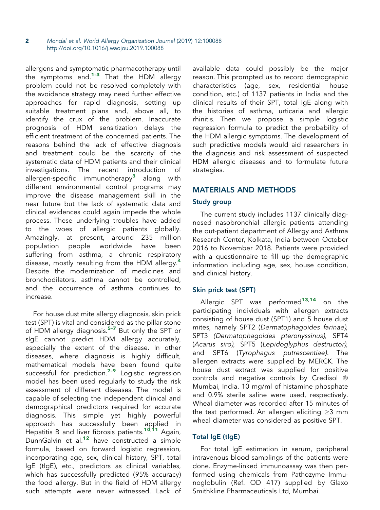2 Mondal et al. World Allergy Organization Journal (2019) 12:100088 http://doi.org/10.1016/j.waojou.2019.100088

allergens and symptomatic pharmacotherapy until the symptoms end.1–<sup>3</sup> That the HDM allergy problem could not be resolved completely with the avoidance strategy may need further effective approaches for rapid diagnosis, setting up suitable treatment plans and, above all, to identify the crux of the problem. Inaccurate prognosis of HDM sensitization delays the efficient treatment of the concerned patients. The reasons behind the lack of effective diagnosis and treatment could be the scarcity of the systematic data of HDM patients and their clinical investigations. The recent introduction of allergen-specific immunotherapy<sup>3</sup> along with different environmental control programs may improve the disease management skill in the near future but the lack of systematic data and clinical evidences could again impede the whole process. These underlying troubles have added to the woes of allergic patients globally. Amazingly, at present, around 235 million population people worldwide have been suffering from asthma, a chronic respiratory disease, mostly resulting from the HDM allergy.<sup>4</sup> Despite the modernization of medicines and bronchodilators, asthma cannot be controlled, and the occurrence of asthma continues to increase.

For house dust mite allergy diagnosis, skin prick test (SPT) is vital and considered as the pillar stone of HDM allergy diagnosis.<sup>5-7</sup> But only the SPT or sIgE cannot predict HDM allergy accurately, especially the extent of the disease. In other diseases, where diagnosis is highly difficult, mathematical models have been found quite successful for prediction.<sup>7-9</sup> Logistic regression model has been used regularly to study the risk assessment of different diseases. The model is capable of selecting the independent clinical and demographical predictors required for accurate diagnosis. This simple yet highly powerful approach has successfully been applied in Hepatitis B and liver fibrosis patients.<sup>10,11</sup> Again, DunnGalvin et al.<sup>12</sup> have constructed a simple formula, based on forward logistic regression, incorporating age, sex, clinical history, SPT, total IgE (tIgE), etc., predictors as clinical variables, which has successfully predicted (95% accuracy) the food allergy. But in the field of HDM allergy such attempts were never witnessed. Lack of

available data could possibly be the major reason. This prompted us to record demographic characteristics (age, sex, residential house condition, etc.) of 1137 patients in India and the clinical results of their SPT, total IgE along with the histories of asthma, urticaria and allergic rhinitis. Then we propose a simple logistic regression formula to predict the probability of the HDM allergic symptoms. The development of such predictive models would aid researchers in the diagnosis and risk assessment of suspected HDM allergic diseases and to formulate future strategies.

## MATERIALS AND METHODS

## Study group

The current study includes 1137 clinically diagnosed nasobronchial allergic patients attending the out-patient department of Allergy and Asthma Research Center, Kolkata, India between October 2016 to November 2018. Patients were provided with a questionnaire to fill up the demographic information including age, sex, house condition, and clinical history.

## Skin prick test (SPT)

Allergic SPT was performed<sup>13,14</sup> on the participating individuals with allergen extracts consisting of house dust (SPT1) and 5 house dust mites, namely SPT2 (*Dermatophagoides farinae),* SPT3 *(Dermatophagoides pteronyssinus),* SPT4 (*Acarus siro),* SPT5 (*Lepidoglyphus destructor),* and SPT6 (*Tyrophagus putrescentiae)*. The allergen extracts were supplied by MERCK. The house dust extract was supplied for positive controls and negative controls by Credisol Mumbai, India. 10 mg/ml of histamine phosphate and 0.9% sterile saline were used, respectively. Wheal diameter was recorded after 15 minutes of the test performed. An allergen eliciting  $\geq$ 3 mm wheal diameter was considered as positive SPT.

## Total IgE (tIgE)

For total IgE estimation in serum, peripheral intravenous blood samplings of the patients were done. Enzyme-linked immunoassay was then performed using chemicals from Pathozyme Immunoglobulin (Ref. OD 417) supplied by Glaxo Smithkline Pharmaceuticals Ltd, Mumbai.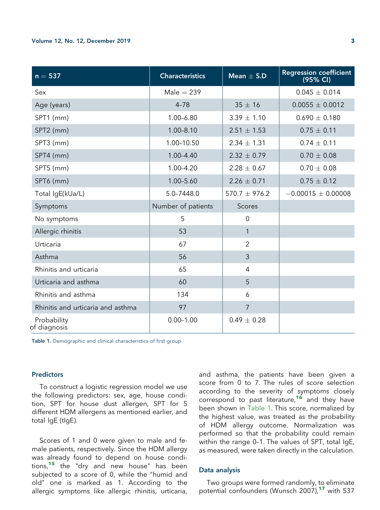| $n = 537$                         | <b>Characteristics</b> | Mean $\pm$ S.D    | <b>Regression coefficient</b><br>(95% CI) |
|-----------------------------------|------------------------|-------------------|-------------------------------------------|
| Sex                               | $Male = 239$           |                   | $0.045 \pm 0.014$                         |
| Age (years)                       | $4 - 78$               | $35 \pm 16$       | $0.0055 \pm 0.0012$                       |
| SPT1 (mm)                         | 1.00-6.80              | $3.39 \pm 1.10$   | $0.690 \pm 0.180$                         |
| SPT2 (mm)                         | $1.00 - 8.10$          | $2.51 \pm 1.53$   | $0.75 \pm 0.11$                           |
| SPT3 (mm)                         | 1.00-10.50             | $2.34 \pm 1.31$   | $0.74 \pm 0.11$                           |
| SPT4 (mm)                         | $1.00 - 4.40$          | $2.32 \pm 0.79$   | $0.70 \pm 0.08$                           |
| SPT5 (mm)                         | $1.00 - 4.20$          | $2.28 \pm 0.67$   | $0.70 \pm 0.08$                           |
| SPT6 (mm)                         | 1.00-5.60              | $2.26 \pm 0.71$   | $0.75 \pm 0.12$                           |
| Total IgE(kUa/L)                  | 5.0-7448.0             | $570.7 \pm 976.2$ | $-0.00015 \pm 0.00008$                    |
| Symptoms                          | Number of patients     | Scores            |                                           |
| No symptoms                       | 5                      | $\overline{0}$    |                                           |
| Allergic rhinitis                 | 53                     | $\mathbf{1}$      |                                           |
| Urticaria                         | 67                     | $\overline{2}$    |                                           |
| Asthma                            | 56                     | 3                 |                                           |
| Rhinitis and urticaria            | 65                     | $\overline{4}$    |                                           |
| Urticaria and asthma              | 60                     | 5                 |                                           |
| Rhinitis and asthma               | 134                    | 6                 |                                           |
| Rhinitis and urticaria and asthma | 97                     | $\overline{7}$    |                                           |
| Probability<br>of diagnosis       | $0.00 - 1.00$          | $0.49 \pm 0.28$   |                                           |

Table 1. Demographic and clinical characteristics of first group

#### **Predictors**

To construct a logistic regression model we use the following predictors: sex, age, house condition, SPT for house dust allergen, SPT for 5 different HDM allergens as mentioned earlier, and total IgE (tIgE).

Scores of 1 and 0 were given to male and female patients, respectively. Since the HDM allergy was already found to depend on house conditions,<sup>15</sup> the "dry and new house" has been subjected to a score of 0, while the "humid and old" one is marked as 1. According to the allergic symptoms like allergic rhinitis, urticaria,

and asthma, the patients have been given a score from 0 to 7. The rules of score selection according to the severity of symptoms closely correspond to past literature,<sup>16</sup> and they have been shown in Table 1. This score, normalized by the highest value, was treated as the probability of HDM allergy outcome. Normalization was performed so that the probability could remain within the range 0–1. The values of SPT, total IgE, as measured, were taken directly in the calculation.

#### Data analysis

Two groups were formed randomly, to eliminate potential confounders (Wunsch 2007),<sup>17</sup> with 537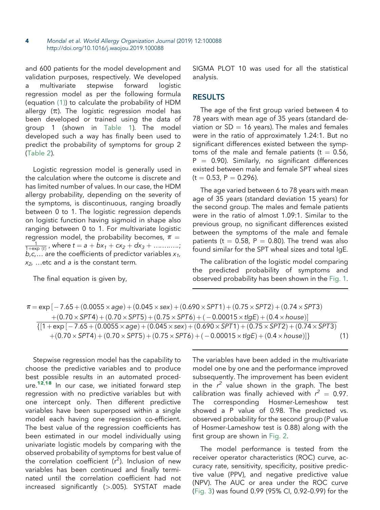4 Mondal et al. World Allergy Organization Journal (2019) 12:100088 http://doi.org/10.1016/j.waojou.2019.100088

and 600 patients for the model development and validation purposes, respectively. We developed a multivariate stepwise forward logistic regression model as per the following formula (equation (1)) to calculate the probability of HDM allergy  $(\pi)$ . The logistic regression model has been developed or trained using the data of group 1 (shown in Table 1). The model developed such a way has finally been used to predict the probability of symptoms for group 2 (Table 2).

Logistic regression model is generally used in the calculation where the outcome is discrete and has limited number of values. In our case, the HDM allergy probability, depending on the severity of the symptoms, is discontinuous, ranging broadly between 0 to 1. The logistic regression depends on logistic function having sigmoid in shape also ranging between 0 to 1. For multivariate logistic regression model, the probability becomes,  $\pi$  =  $\frac{1}{1 + \exp{(t)}}$ , where  $t = a + bx_1 + cx_2 + dx_3 + \ldots$  $b, c, \ldots$  are the coefficients of predictor variables  $x_1$ , *x2,* .etc and *a* is the constant term*.*

The final equation is given by,

SIGMA PLOT 10 was used for all the statistical analysis.

### RESULTS

The age of the first group varied between 4 to 78 years with mean age of 35 years (standard deviation or  $SD = 16$  years). The males and females were in the ratio of approximately 1.24:1. But no significant differences existed between the symptoms of the male and female patients ( $t = 0.56$ ,  $P = 0.90$ ). Similarly, no significant differences existed between male and female SPT wheal sizes  $(t = 0.53, P = 0.296)$ .

The age varied between 6 to 78 years with mean age of 35 years (standard deviation 15 years) for the second group. The males and female patients were in the ratio of almost 1.09:1. Similar to the previous group, no significant differences existed between the symptoms of the male and female patients (t =  $0.58$ , P = 0.80). The trend was also found similar for the SPT wheal sizes and total IgE.

The calibration of the logistic model comparing the predicted probability of symptoms and observed probability has been shown in the Fig. 1.

| $\pi = \exp[-7.65 + (0.0055 \times age) + (0.045 \times sex) + (0.690 \times SPT1) + (0.75 \times SPT2) + (0.74 \times SPT3)$ |  |
|-------------------------------------------------------------------------------------------------------------------------------|--|
| $+(0.70\times SPT4)+(0.70\times SPT5)+(0.75\times SPT6)+(-0.00015\times tlgE)+(0.4\times house)]$                             |  |
| $\{[1+\exp[-7.65+(0.0055\times aqe)+(0.045\times sex)+(0.690\times SPT1)+(0.75\times SPT2)+(0.74\times SPT3)]\}$              |  |
| $+(0.70\times SPT4)+(0.70\times SPT5)+(0.75\times SPT6)+(-0.00015\times tlgE)+(0.4\times house)]$                             |  |

Stepwise regression model has the capability to choose the predictive variables and to produce best possible results in an automated procedure.<sup>12,18</sup> In our case, we initiated forward step regression with no predictive variables but with one intercept only. Then different predictive variables have been superposed within a single model each having one regression co-efficient. The best value of the regression coefficients has been estimated in our model individually using univariate logistic models by comparing with the observed probability of symptoms for best value of the correlation coefficient  $(r^2)$ . Inclusion of new variables has been continued and finally terminated until the correlation coefficient had not increased significantly (>.005). SYSTAT made

The variables have been added in the multivariate model one by one and the performance improved subsequently. The improvement has been evident in the  $r^2$  value shown in the graph. The best calibration was finally achieved with  $r^2 = 0.97$ . The corresponding Hosmer-Lemeshow test showed a P value of 0.98. The predicted vs. observed probability for the second group (P value of Hosmer-Lameshow test is 0.88) along with the first group are shown in Fig. 2.

The model performance is tested from the receiver operator characteristics (ROC) curve, accuracy rate, sensitivity, specificity, positive predictive value (PPV), and negative predictive value (NPV). The AUC or area under the ROC curve (Fig. 3) was found 0.99 (95% CI, 0.92–0.99) for the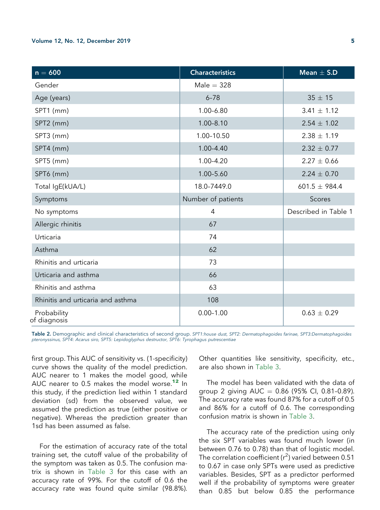#### Volume 12, No. 12, December 2019 5

| $n = 600$                         | <b>Characteristics</b> | Mean $\pm$ S.D       |
|-----------------------------------|------------------------|----------------------|
| Gender                            | $Male = 328$           |                      |
| Age (years)                       | $6 - 78$               | $35 \pm 15$          |
| SPT1 (mm)                         | 1.00-6.80              | $3.41 \pm 1.12$      |
| SPT2 (mm)                         | $1.00 - 8.10$          | $2.54 \pm 1.02$      |
| SPT3 (mm)                         | 1.00-10.50             | $2.38 \pm 1.19$      |
| SPT4 (mm)                         | $1.00 - 4.40$          | $2.32 \pm 0.77$      |
| SPT5 (mm)                         | 1.00-4.20              | $2.27 \pm 0.66$      |
| SPT6 (mm)                         | 1.00-5.60              | $2.24 \pm 0.70$      |
| Total IgE(kUA/L)                  | 18.0-7449.0            | $601.5 \pm 984.4$    |
| Symptoms                          | Number of patients     | Scores               |
| No symptoms                       | 4                      | Described in Table 1 |
| Allergic rhinitis                 | 67                     |                      |
| Urticaria                         | 74                     |                      |
| Asthma                            | 62                     |                      |
| Rhinitis and urticaria            | 73                     |                      |
| Urticaria and asthma              | 66                     |                      |
| Rhinitis and asthma               | 63                     |                      |
| Rhinitis and urticaria and asthma | 108                    |                      |
| Probability<br>of diagnosis       | $0.00 - 1.00$          | $0.63 \pm 0.29$      |

Table 2. Demographic and clinical characteristics of second group. *SPT1:house dust, SPT2: Dermatophagoides farinae, SPT3:Dermatophagoides pteronyssinus, SPT4: Acarus siro, SPT5: Lepidoglyphus destructor, SPT6: Tyrophagus putrescentiae*

first group. This AUC of sensitivity vs. (1-specificity) curve shows the quality of the model prediction. AUC nearer to 1 makes the model good, while AUC nearer to 0.5 makes the model worse.<sup>12</sup> In this study, if the prediction lied within 1 standard deviation (sd) from the observed value, we assumed the prediction as true (either positive or negative). Whereas the prediction greater than 1sd has been assumed as false.

For the estimation of accuracy rate of the total training set, the cutoff value of the probability of the symptom was taken as 0.5. The confusion matrix is shown in Table 3 for this case with an accuracy rate of 99%. For the cutoff of 0.6 the accuracy rate was found quite similar (98.8%).

Other quantities like sensitivity, specificity, etc., are also shown in Table 3.

The model has been validated with the data of group 2 giving  $AUC = 0.86$  (95% Cl, 0.81-0.89). The accuracy rate was found 87% for a cutoff of 0.5 and 86% for a cutoff of 0.6. The corresponding confusion matrix is shown in Table 3.

The accuracy rate of the prediction using only the six SPT variables was found much lower (in between 0.76 to 0.78) than that of logistic model. The correlation coefficient ( $r^2$ ) varied between 0.51 to 0.67 in case only SPTs were used as predictive variables. Besides, SPT as a predictor performed well if the probability of symptoms were greater than 0.85 but below 0.85 the performance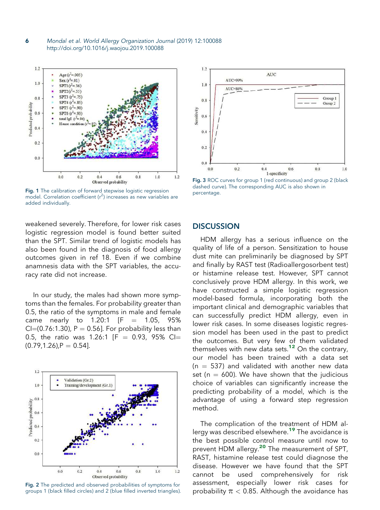6 Mondal et al. World Allergy Organization Journal (2019) 12:100088 http://doi.org/10.1016/j.waojou.2019.100088



Fig. 1 The calibration of forward stepwise logistic regression model. Correlation coefficient ( $r^2$ ) increases as new variables are added individually.

weakened severely. Therefore, for lower risk cases logistic regression model is found better suited than the SPT. Similar trend of logistic models has also been found in the diagnosis of food allergy outcomes given in ref 18. Even if we combine anamnesis data with the SPT variables, the accuracy rate did not increase.

In our study, the males had shown more symptoms than the females. For probability greater than 0.5, the ratio of the symptoms in male and female came nearly to  $1.20:1$  [F =  $1.05$ ,  $95\%$  $Cl=(0.76:1.30)$ , P = 0.56]. For probability less than 0.5, the ratio was 1.26:1  $[F = 0.93, 95\%$  CI=  $(0.79, 1.26)$ ,  $P = 0.54$ ].



Fig. 2 The predicted and observed probabilities of symptoms for groups 1 (black filled circles) and 2 (blue filled inverted triangles).



Fig. 3 ROC curves for group 1 (red continuous) and group 2 (black dashed curve). The corresponding AUC is also shown in percentage.

## **DISCUSSION**

HDM allergy has a serious influence on the quality of life of a person. Sensitization to house dust mite can preliminarily be diagnosed by SPT and finally by RAST test (Radioallergosorbent test) or histamine release test. However, SPT cannot conclusively prove HDM allergy. In this work, we have constructed a simple logistic regression model-based formula, incorporating both the important clinical and demographic variables that can successfully predict HDM allergy, even in lower risk cases. In some diseases logistic regression model has been used in the past to predict the outcomes. But very few of them validated themselves with new data sets.<sup>12</sup> On the contrary, our model has been trained with a data set  $(n = 537)$  and validated with another new data set ( $n = 600$ ). We have shown that the judicious choice of variables can significantly increase the predicting probability of a model, which is the advantage of using a forward step regression method.

The complication of the treatment of HDM allergy was described elsewhere.<sup>19</sup> The avoidance is the best possible control measure until now to prevent HDM allergy.<sup>20</sup> The measurement of SPT, RAST, histamine release test could diagnose the disease. However we have found that the SPT cannot be used comprehensively for risk assessment, especially lower risk cases for probability  $\pi$  < 0.85. Although the avoidance has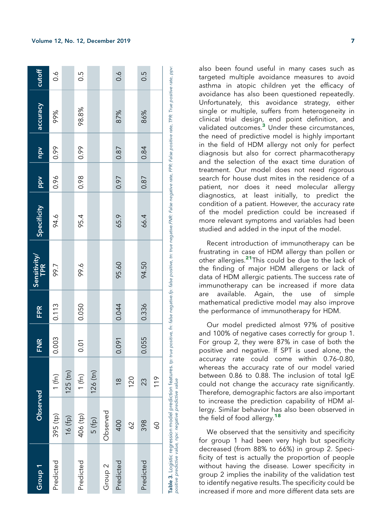| Group <sub>1</sub> | Observed                                                  |               | <b>FNR</b>     | <b>FPR</b> | <b>Sensitivity</b><br><b>TPR</b>                                                                                                                                                                                          | Specificity | Ndd  | Ndu  | accuracy | cutoff         |
|--------------------|-----------------------------------------------------------|---------------|----------------|------------|---------------------------------------------------------------------------------------------------------------------------------------------------------------------------------------------------------------------------|-------------|------|------|----------|----------------|
| Predicted          | 395 (tp)                                                  | 1(fn)         | 0.003          | 0.113      | 566                                                                                                                                                                                                                       | 94.6        | 0.96 | 0.99 | 99%      | $\frac{6}{10}$ |
|                    | 16(fp)                                                    | $125$ (tn)    |                |            |                                                                                                                                                                                                                           |             |      |      |          |                |
| Predicted          | 406 (tp)                                                  | 1(fn)         | $\overline{0}$ | 0.050      | 99.6                                                                                                                                                                                                                      | 95.4        | 0.98 | 0.99 | 98.8%    | С.<br>О        |
|                    | 5 (fp)                                                    | $126$ (tn)    |                |            |                                                                                                                                                                                                                           |             |      |      |          |                |
| Group <sub>2</sub> | Observed                                                  |               |                |            |                                                                                                                                                                                                                           |             |      |      |          |                |
| Predicted          | 400                                                       | $\frac{8}{1}$ | 0.091          | 0.044      | 95.60                                                                                                                                                                                                                     | 65.9        | 0.97 | 0.87 | 87%      | $\sim 0$       |
|                    | 62                                                        | 120           |                |            |                                                                                                                                                                                                                           |             |      |      |          |                |
| Predicted          | 398                                                       | 23            | 0.055          | 0.336      | 94.50                                                                                                                                                                                                                     | 66.4        | 0.87 | 0.84 | 86%      | $\frac{5}{2}$  |
|                    | $\mathcal{S}^{\mathsf{O}}$                                | 119           |                |            |                                                                                                                                                                                                                           |             |      |      |          |                |
|                    | positive predictive value, npv: negative predictive value |               |                |            | Table 3. Logistic regression model prediction features. to: twe positive, fn: false negative, fn: twe negative.FMR: False negative rate, FPR: False positive rate, TPR: True positive rate, PPR: True positive rate, ppv: |             |      |      |          |                |

also been found useful in many cases such as targeted multiple avoidance measures to avoid asthma in atopic children yet the efficacy of avoidance has also been questioned repeatedly. Unfortunately, this avoidance strategy, either single or multiple, suffers from heterogeneity in clinical trial design, end point definition, and validated outcomes.<sup>3</sup> Under these circumstances, the need of predictive model is highly important in the field of HDM allergy not only for perfect diagnosis but also for correct pharmacotherapy and the selection of the exact time duration of treatment. Our model does not need rigorous search for house dust mites in the residence of a patient, nor does it need molecular allergy diagnostics, at least initially, to predict the condition of a patient. However, the accuracy rate of the model prediction could be increased if more relevant symptoms and variables had been studied and added in the input of the model.

Recent introduction of immunotherapy can be frustrating in case of HDM allergy than pollen or other allergies.<sup>21</sup>This could be due to the lack of the finding of major HDM allergens or lack of data of HDM allergic patients. The success rate of immunotherapy can be increased if more data are available. Again, the use of simple mathematical predictive model may also improve the performance of immunotherapy for HDM.

Our model predicted almost 97% of positive and 100% of negative cases correctly for group 1. For group 2, they were 87% in case of both the positive and negative. If SPT is used alone, the accuracy rate could come within 0.76–0.80, whereas the accuracy rate of our model varied between 0.86 to 0.88. The inclusion of total IgE could not change the accuracy rate significantly. Therefore, demographic factors are also important to increase the prediction capability of HDM allergy. Similar behavior has also been observed in the field of food allergy.<sup>18</sup>

We observed that the sensitivity and specificity for group 1 had been very high but specificity decreased (from 88% to 66%) in group 2. Specificity of test is actually the proportion of people without having the disease. Lower specificity in group 2 implies the inability of the validation test to identify negative results. The specificity could be increased if more and more different data sets are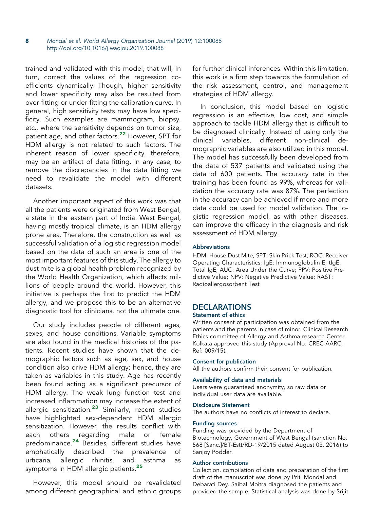trained and validated with this model, that will, in turn, correct the values of the regression coefficients dynamically. Though, higher sensitivity and lower specificity may also be resulted from over-fitting or under-fitting the calibration curve. In general, high sensitivity tests may have low specificity. Such examples are mammogram, biopsy, etc., where the sensitivity depends on tumor size, patient age, and other factors.<sup>22</sup> However, SPT for .<br>HDM allergy is not related to such factors. The inherent reason of lower specificity, therefore, may be an artifact of data fitting. In any case, to remove the discrepancies in the data fitting we need to revalidate the model with different datasets.

Another important aspect of this work was that all the patients were originated from West Bengal, a state in the eastern part of India. West Bengal, having mostly tropical climate, is an HDM allergy prone area. Therefore, the construction as well as successful validation of a logistic regression model based on the data of such an area is one of the most important features of this study. The allergy to dust mite is a global health problem recognized by the World Health Organization, which affects millions of people around the world. However, this initiative is perhaps the first to predict the HDM allergy, and we propose this to be an alternative diagnostic tool for clinicians, not the ultimate one.

Our study includes people of different ages, sexes, and house conditions. Variable symptoms are also found in the medical histories of the patients. Recent studies have shown that the demographic factors such as age, sex, and house condition also drive HDM allergy; hence, they are taken as variables in this study. Age has recently been found acting as a significant precursor of HDM allergy. The weak lung function test and increased inflammation may increase the extent of allergic sensitization.<sup>23</sup> Similarly, recent studies have highlighted sex-dependent HDM allergic sensitization. However, the results conflict with each others regarding male or female predominance.<sup>24</sup> Besides, different studies have emphatically described the prevalence of urticaria, allergic rhinitis, and asthma as symptoms in HDM allergic patients.<sup>25</sup>

However, this model should be revalidated among different geographical and ethnic groups for further clinical inferences. Within this limitation, this work is a firm step towards the formulation of the risk assessment, control, and management strategies of HDM allergy.

In conclusion, this model based on logistic regression is an effective, low cost, and simple approach to tackle HDM allergy that is difficult to be diagnosed clinically. Instead of using only the clinical variables, different non-clinical demographic variables are also utilized in this model. The model has successfully been developed from the data of 537 patients and validated using the data of 600 patients. The accuracy rate in the training has been found as 99%, whereas for validation the accuracy rate was 87%. The perfection in the accuracy can be achieved if more and more data could be used for model validation. The logistic regression model, as with other diseases, can improve the efficacy in the diagnosis and risk assessment of HDM allergy.

#### **Abbreviations**

HDM: House Dust Mite; SPT: Skin Prick Test; ROC: Receiver Operating Characteristics; IgE: Immunoglobulin E; tIgE: Total IgE; AUC: Area Under the Curve; PPV: Positive Predictive Value; NPV: Negative Predictive Value; RAST: Radioallergosorbent Test

## DECLARATIONS

## Statement of ethics

Written consent of participation was obtained from the patients and the parents in case of minor. Clinical Research Ethics committee of Allergy and Asthma research Center, Kolkata approved this study (Approval No: CREC-AARC, Ref: 009/15).

#### Consent for publication

All the authors confirm their consent for publication.

#### Availability of data and materials

Users were guaranteed anonymity, so raw data or individual user data are available.

#### Disclosure Statement

The authors have no conflicts of interest to declare.

#### Funding sources

Funding was provided by the Department of Biotechnology, Government of West Bengal (sanction No. 568 [Sanc.]/BT-Estt/RD-19/2015 dated August 03, 2016) to Sanjoy Podder.

#### Author contributions

Collection, compilation of data and preparation of the first draft of the manuscript was done by Priti Mondal and Debarati Dey. Saibal Moitra diagnosed the patients and provided the sample. Statistical analysis was done by Srijit